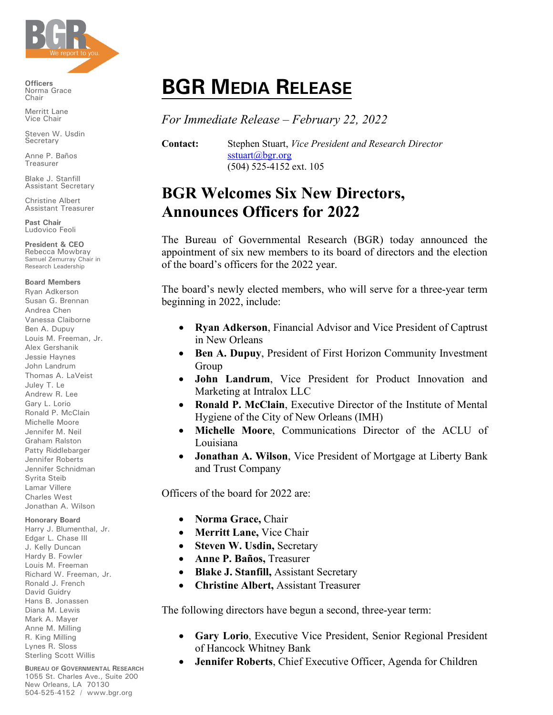

**Officers** Norma Grace Chair

Merritt Lane Vice Chair

Steven W. Usdin Secretary

Anne P. Baños Treasurer

Blake J. Stanfill Assistant Secretary

Christine Albert Assistant Treasurer

**Past Chair** Ludovico Feoli

**President & CEO** Rebecca Mowbray Samuel Zemurray Chair in Research Leadership

## **Board Members**

Ryan Adkerson Susan G. Brennan Andrea Chen Vanessa Claiborne Ben A. Dupuy Louis M. Freeman, Jr. Alex Gershanik Jessie Haynes John Landrum Thomas A. LaVeist Juley T. Le Andrew R. Lee Gary L. Lorio Ronald P. McClain Michelle Moore Jennifer M. Neil Graham Ralston Patty Riddlebarger Jennifer Roberts Jennifer Schnidman Syrita Steib Lamar Villere Charles West Jonathan A. Wilson

**Honorary Board**

Harry J. Blumenthal, Jr. Edgar L. Chase III J. Kelly Duncan Hardy B. Fowler Louis M. Freeman Richard W. Freeman, Jr. Ronald J. French David Guidry Hans B. Jonassen Diana M. Lewis Mark A. Mayer Anne M. Milling R. King Milling Lynes R. Sloss Sterling Scott Willis

**BUREAU OF GOVERNMENTAL RESEARCH** 1055 St. Charles Ave., Suite 200 New Orleans, LA 70130 504-525-4152 / www.bgr.org

## **BGR MEDIA RELEASE**

*For Immediate Release – February 22, 2022*

**Contact:** Stephen Stuart, *Vice President and Research Director* [sstuart@bgr.org](mailto:sstuart@bgr.org) (504) 525-4152 ext. 105

## **BGR Welcomes Six New Directors, Announces Officers for 2022**

The Bureau of Governmental Research (BGR) today announced the appointment of six new members to its board of directors and the election of the board's officers for the 2022 year.

The board's newly elected members, who will serve for a three-year term beginning in 2022, include:

- **Ryan Adkerson**, Financial Advisor and Vice President of Captrust in New Orleans
- **Ben A. Dupuy**, President of First Horizon Community Investment Group
- **John Landrum**, Vice President for Product Innovation and Marketing at Intralox LLC
- **Ronald P. McClain**, Executive Director of the Institute of Mental Hygiene of the City of New Orleans (IMH)
- **Michelle Moore**, Communications Director of the ACLU of Louisiana
- **Jonathan A. Wilson**, Vice President of Mortgage at Liberty Bank and Trust Company

Officers of the board for 2022 are:

- **Norma Grace,** Chair
- **Merritt Lane,** Vice Chair
- **Steven W. Usdin, Secretary**
- **Anne P. Baños,** Treasurer
- **Blake J. Stanfill,** Assistant Secretary
- **Christine Albert,** Assistant Treasurer

The following directors have begun a second, three-year term:

- **Gary Lorio**, Executive Vice President, Senior Regional President of Hancock Whitney Bank
- **Jennifer Roberts**, Chief Executive Officer, Agenda for Children